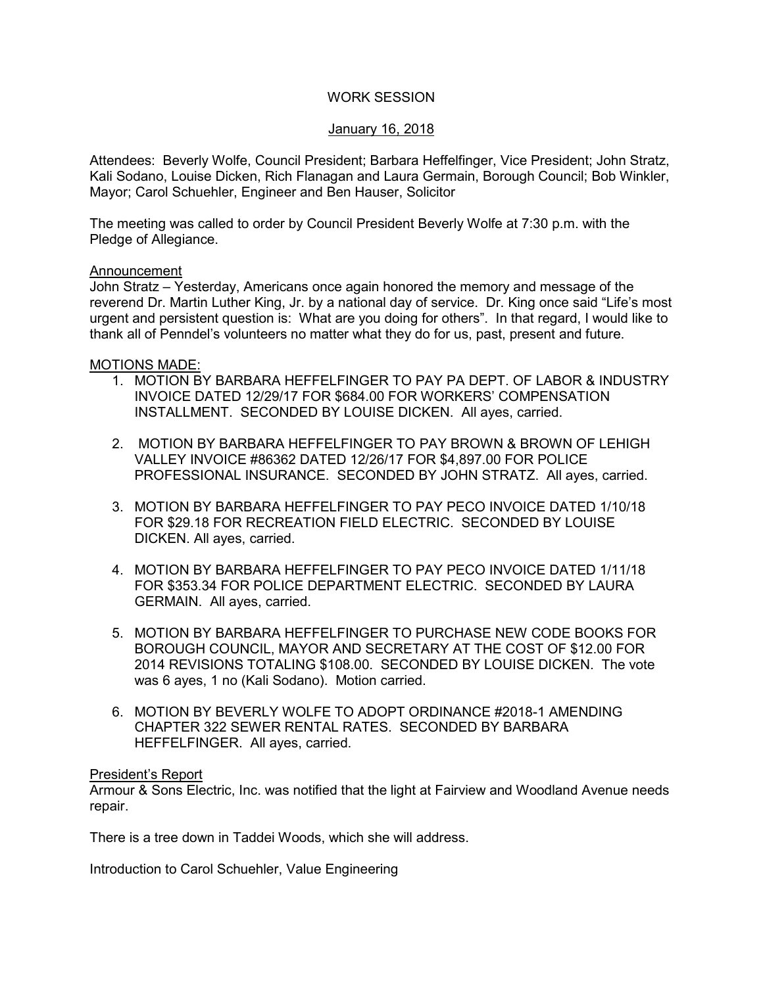# WORK SESSION

## January 16, 2018

Attendees: Beverly Wolfe, Council President; Barbara Heffelfinger, Vice President; John Stratz, Kali Sodano, Louise Dicken, Rich Flanagan and Laura Germain, Borough Council; Bob Winkler, Mayor; Carol Schuehler, Engineer and Ben Hauser, Solicitor

The meeting was called to order by Council President Beverly Wolfe at 7:30 p.m. with the Pledge of Allegiance.

### Announcement

John Stratz – Yesterday, Americans once again honored the memory and message of the reverend Dr. Martin Luther King, Jr. by a national day of service. Dr. King once said "Life's most urgent and persistent question is: What are you doing for others". In that regard, I would like to thank all of Penndel's volunteers no matter what they do for us, past, present and future.

### MOTIONS MADE:

- 1. MOTION BY BARBARA HEFFELFINGER TO PAY PA DEPT. OF LABOR & INDUSTRY INVOICE DATED 12/29/17 FOR \$684.00 FOR WORKERS' COMPENSATION INSTALLMENT. SECONDED BY LOUISE DICKEN. All ayes, carried.
- 2. MOTION BY BARBARA HEFFELFINGER TO PAY BROWN & BROWN OF LEHIGH VALLEY INVOICE #86362 DATED 12/26/17 FOR \$4,897.00 FOR POLICE PROFESSIONAL INSURANCE. SECONDED BY JOHN STRATZ. All ayes, carried.
- 3. MOTION BY BARBARA HEFFELFINGER TO PAY PECO INVOICE DATED 1/10/18 FOR \$29.18 FOR RECREATION FIELD ELECTRIC. SECONDED BY LOUISE DICKEN. All ayes, carried.
- 4. MOTION BY BARBARA HEFFELFINGER TO PAY PECO INVOICE DATED 1/11/18 FOR \$353.34 FOR POLICE DEPARTMENT ELECTRIC. SECONDED BY LAURA GERMAIN. All ayes, carried.
- 5. MOTION BY BARBARA HEFFELFINGER TO PURCHASE NEW CODE BOOKS FOR BOROUGH COUNCIL, MAYOR AND SECRETARY AT THE COST OF \$12.00 FOR 2014 REVISIONS TOTALING \$108.00. SECONDED BY LOUISE DICKEN. The vote was 6 ayes, 1 no (Kali Sodano). Motion carried.
- 6. MOTION BY BEVERLY WOLFE TO ADOPT ORDINANCE #2018-1 AMENDING CHAPTER 322 SEWER RENTAL RATES. SECONDED BY BARBARA HEFFELFINGER. All ayes, carried.

### President's Report

Armour & Sons Electric, Inc. was notified that the light at Fairview and Woodland Avenue needs repair.

There is a tree down in Taddei Woods, which she will address.

Introduction to Carol Schuehler, Value Engineering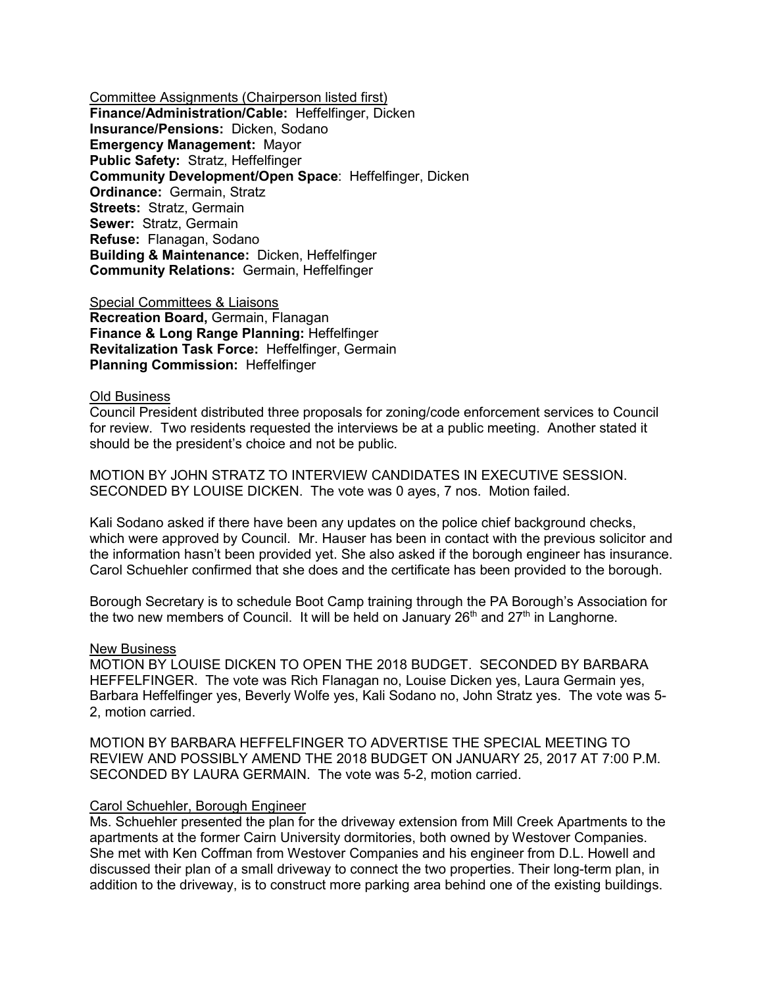Committee Assignments (Chairperson listed first) **Finance/Administration/Cable:** Heffelfinger, Dicken **Insurance/Pensions:** Dicken, Sodano **Emergency Management:** Mayor **Public Safety:** Stratz, Heffelfinger **Community Development/Open Space**: Heffelfinger, Dicken **Ordinance:** Germain, Stratz **Streets:** Stratz, Germain **Sewer:** Stratz, Germain **Refuse:** Flanagan, Sodano **Building & Maintenance:** Dicken, Heffelfinger **Community Relations:** Germain, Heffelfinger

Special Committees & Liaisons **Recreation Board,** Germain, Flanagan **Finance & Long Range Planning:** Heffelfinger **Revitalization Task Force:** Heffelfinger, Germain **Planning Commission:** Heffelfinger

#### Old Business

Council President distributed three proposals for zoning/code enforcement services to Council for review. Two residents requested the interviews be at a public meeting. Another stated it should be the president's choice and not be public.

MOTION BY JOHN STRATZ TO INTERVIEW CANDIDATES IN EXECUTIVE SESSION. SECONDED BY LOUISE DICKEN. The vote was 0 ayes, 7 nos. Motion failed.

Kali Sodano asked if there have been any updates on the police chief background checks, which were approved by Council. Mr. Hauser has been in contact with the previous solicitor and the information hasn't been provided yet. She also asked if the borough engineer has insurance. Carol Schuehler confirmed that she does and the certificate has been provided to the borough.

Borough Secretary is to schedule Boot Camp training through the PA Borough's Association for the two new members of Council. It will be held on January  $26<sup>th</sup>$  and  $27<sup>th</sup>$  in Langhorne.

#### New Business

MOTION BY LOUISE DICKEN TO OPEN THE 2018 BUDGET. SECONDED BY BARBARA HEFFELFINGER. The vote was Rich Flanagan no, Louise Dicken yes, Laura Germain yes, Barbara Heffelfinger yes, Beverly Wolfe yes, Kali Sodano no, John Stratz yes. The vote was 5- 2, motion carried.

MOTION BY BARBARA HEFFELFINGER TO ADVERTISE THE SPECIAL MEETING TO REVIEW AND POSSIBLY AMEND THE 2018 BUDGET ON JANUARY 25, 2017 AT 7:00 P.M. SECONDED BY LAURA GERMAIN. The vote was 5-2, motion carried.

#### Carol Schuehler, Borough Engineer

Ms. Schuehler presented the plan for the driveway extension from Mill Creek Apartments to the apartments at the former Cairn University dormitories, both owned by Westover Companies. She met with Ken Coffman from Westover Companies and his engineer from D.L. Howell and discussed their plan of a small driveway to connect the two properties. Their long-term plan, in addition to the driveway, is to construct more parking area behind one of the existing buildings.